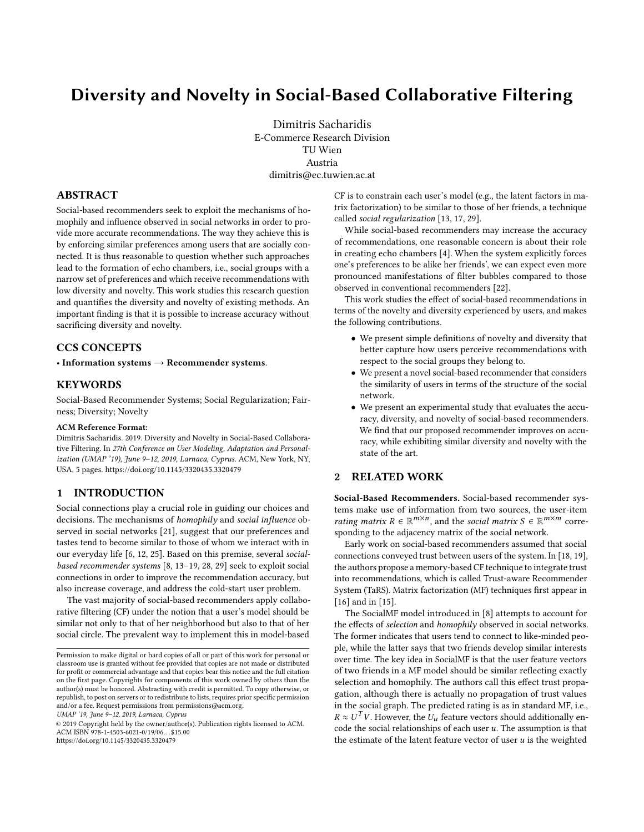# Diversity and Novelty in Social-Based Collaborative Filtering

Dimitris Sacharidis E-Commerce Research Division TU Wien Austria dimitris@ec.tuwien.ac.at

## ABSTRACT

Social-based recommenders seek to exploit the mechanisms of homophily and influence observed in social networks in order to provide more accurate recommendations. The way they achieve this is by enforcing similar preferences among users that are socially connected. It is thus reasonable to question whether such approaches lead to the formation of echo chambers, i.e., social groups with a narrow set of preferences and which receive recommendations with low diversity and novelty. This work studies this research question and quantifies the diversity and novelty of existing methods. An important finding is that it is possible to increase accuracy without sacrificing diversity and novelty.

# CCS CONCEPTS

• Information systems  $\rightarrow$  Recommender systems.

## **KEYWORDS**

Social-Based Recommender Systems; Social Regularization; Fairness; Diversity; Novelty

#### ACM Reference Format:

Dimitris Sacharidis. 2019. Diversity and Novelty in Social-Based Collaborative Filtering. In 27th Conference on User Modeling, Adaptation and Personalization (UMAP '19), June 9-12, 2019, Larnaca, Cyprus. ACM, New York, NY, USA, [5](#page-4-0) pages.<https://doi.org/10.1145/3320435.3320479>

## 1 INTRODUCTION

Social connections play a crucial role in guiding our choices and decisions. The mechanisms of homophily and social influence observed in social networks [\[21\]](#page-4-1), suggest that our preferences and tastes tend to become similar to those of whom we interact with in our everyday life [\[6,](#page-4-2) [12,](#page-4-3) [25\]](#page-4-4). Based on this premise, several socialbased recommender systems [\[8,](#page-4-5) [13–](#page-4-6)[19,](#page-4-7) [28,](#page-4-8) [29\]](#page-4-9) seek to exploit social connections in order to improve the recommendation accuracy, but also increase coverage, and address the cold-start user problem.

The vast majority of social-based recommenders apply collaborative filtering (CF) under the notion that a user's model should be similar not only to that of her neighborhood but also to that of her social circle. The prevalent way to implement this in model-based

UMAP '19, June 9–12, 2019, Larnaca, Cyprus

© 2019 Copyright held by the owner/author(s). Publication rights licensed to ACM. ACM ISBN 978-1-4503-6021-0/19/06. . . \$15.00 <https://doi.org/10.1145/3320435.3320479>

CF is to constrain each user's model (e.g., the latent factors in matrix factorization) to be similar to those of her friends, a technique called social regularization [\[13,](#page-4-6) [17,](#page-4-10) [29\]](#page-4-9).

While social-based recommenders may increase the accuracy of recommendations, one reasonable concern is about their role in creating echo chambers [\[4\]](#page-4-11). When the system explicitly forces one's preferences to be alike her friends', we can expect even more pronounced manifestations of filter bubbles compared to those observed in conventional recommenders [\[22\]](#page-4-12).

This work studies the effect of social-based recommendations in terms of the novelty and diversity experienced by users, and makes the following contributions.

- We present simple definitions of novelty and diversity that better capture how users perceive recommendations with respect to the social groups they belong to.
- We present a novel social-based recommender that considers the similarity of users in terms of the structure of the social network.
- We present an experimental study that evaluates the accuracy, diversity, and novelty of social-based recommenders. We find that our proposed recommender improves on accuracy, while exhibiting similar diversity and novelty with the state of the art.

#### 2 RELATED WORK

Social-Based Recommenders. Social-based recommender systems make use of information from two sources, the user-item rating matrix  $R \in \mathbb{R}^{m \times n}$ , and the social matrix  $S \in \mathbb{R}^{m \times m}$  corre-<br>sponding to the adiacency matrix of the social network sponding to the adjacency matrix of the social network.

Early work on social-based recommenders assumed that social connections conveyed trust between users of the system. In [\[18,](#page-4-13) [19\]](#page-4-7), the authors propose a memory-based CF technique to integrate trust into recommendations, which is called Trust-aware Recommender System (TaRS). Matrix factorization (MF) techniques first appear in [\[16\]](#page-4-14) and in [\[15\]](#page-4-15).

The SocialMF model introduced in [\[8\]](#page-4-5) attempts to account for the effects of selection and homophily observed in social networks. The former indicates that users tend to connect to like-minded people, while the latter says that two friends develop similar interests over time. The key idea in SocialMF is that the user feature vectors of two friends in a MF model should be similar reflecting exactly selection and homophily. The authors call this effect trust propagation, although there is actually no propagation of trust values in the social graph. The predicted rating is as in standard MF, i.e.,  $R \approx U^T V$ . However, the  $U_u$  feature vectors should additionally en-<br>code the social relationships of each user u. The assumption is that code the social relationships of each user  $u$ . The assumption is that the estimate of the latent feature vector of user  $u$  is the weighted

Permission to make digital or hard copies of all or part of this work for personal or classroom use is granted without fee provided that copies are not made or distributed for profit or commercial advantage and that copies bear this notice and the full citation on the first page. Copyrights for components of this work owned by others than the author(s) must be honored. Abstracting with credit is permitted. To copy otherwise, or republish, to post on servers or to redistribute to lists, requires prior specific permission and/or a fee. Request permissions from permissions@acm.org.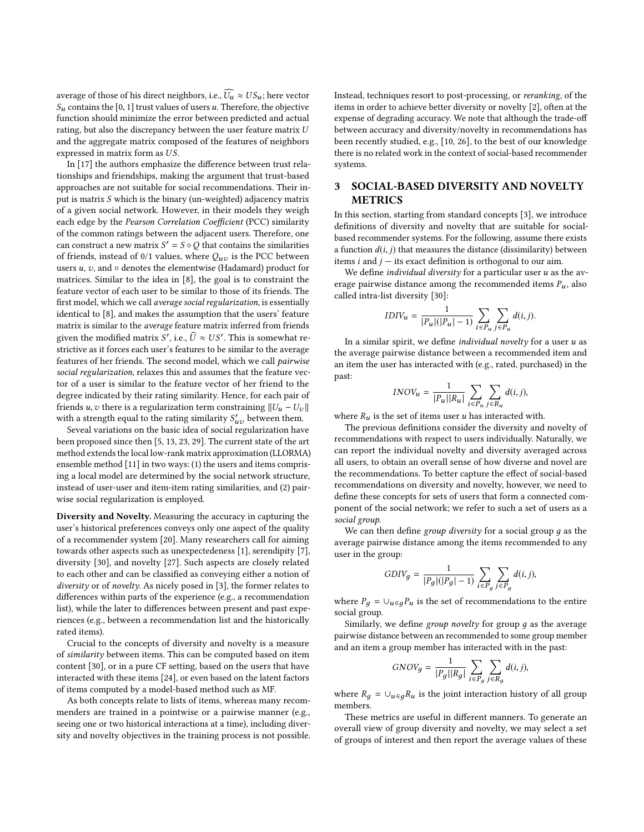average of those of his direct neighbors, i.e.,  $\widehat{U_u} \approx US_u$ ; here vector  $S_u$  contains the [0, 1] trust values of users u. Therefore, the objective function should minimize the error between predicted and actual rating, but also the discrepancy between the user feature matrix U and the aggregate matrix composed of the features of neighbors expressed in matrix form as US.

In [\[17\]](#page-4-10) the authors emphasize the difference between trust relationships and friendships, making the argument that trust-based approaches are not suitable for social recommendations. Their input is matrix S which is the binary (un-weighted) adjacency matrix of a given social network. However, in their models they weigh each edge by the Pearson Correlation Coefficient (PCC) similarity of the common ratings between the adjacent users. Therefore, one can construct a new matrix  $S' = S \circ Q$  that contains the similarities<br>of friends, instead of 0/1 values, where  $Q$  is the PCC between of friends, instead of 0/1 values, where  $Q_{uv}$  is the PCC between users  $u, v$ , and  $\circ$  denotes the elementwise (Hadamard) product for matrices. Similar to the idea in [\[8\]](#page-4-5), the goal is to constraint the feature vector of each user to be similar to those of its friends. The first model, which we call average social regularization, is essentially identical to [\[8\]](#page-4-5), and makes the assumption that the users' feature matrix is similar to the average feature matrix inferred from friends given the modified matrix  $S'$ , i.e.,  $\hat{U} \approx US'$ . This is somewhat re-<br>strictive as it forces each user's features to be similar to the average strictive as it forces each user's features to be similar to the average features of her friends. The second model, which we call pairwise social regularization, relaxes this and assumes that the feature vector of a user is similar to the feature vector of her friend to the degree indicated by their rating similarity. Hence, for each pair of friends u, v there is a regularization term constraining  $||U_u - U_v||$ with a strength equal to the rating similarity  $S'_{uv}$  between them.<br>Several variations on the basic idea of social regularization bay

Seveal variations on the basic idea of social regularization have been proposed since then [\[5,](#page-4-16) [13,](#page-4-6) [23,](#page-4-17) [29\]](#page-4-9). The current state of the art method extends the local low-rank matrix approximation (LLORMA) ensemble method [\[11\]](#page-4-18) in two ways: (1) the users and items comprising a local model are determined by the social network structure, instead of user-user and item-item rating similarities, and (2) pairwise social regularization is employed.

Diversity and Novelty. Measuring the accuracy in capturing the user's historical preferences conveys only one aspect of the quality of a recommender system [\[20\]](#page-4-19). Many researchers call for aiming towards other aspects such as unexpectedeness [\[1\]](#page-4-20), serendipity [\[7\]](#page-4-21), diversity [\[30\]](#page-4-22), and novelty [\[27\]](#page-4-23). Such aspects are closely related to each other and can be classified as conveying either a notion of diversity or of novelty. As nicely posed in [\[3\]](#page-4-24), the former relates to differences within parts of the experience (e.g., a recommendation list), while the later to differences between present and past experiences (e.g., between a recommendation list and the historically rated items).

Crucial to the concepts of diversity and novelty is a measure of similarity between items. This can be computed based on item content [\[30\]](#page-4-22), or in a pure CF setting, based on the users that have interacted with these items [\[24\]](#page-4-25), or even based on the latent factors of items computed by a model-based method such as MF.

As both concepts relate to lists of items, whereas many recommenders are trained in a pointwise or a pairwise manner (e.g., seeing one or two historical interactions at a time), including diversity and novelty objectives in the training process is not possible. Instead, techniques resort to post-processing, or reranking, of the items in order to achieve better diversity or novelty [\[2\]](#page-4-26), often at the expense of degrading accuracy. We note that although the trade-off between accuracy and diversity/novelty in recommendations has been recently studied, e.g., [\[10,](#page-4-27) [26\]](#page-4-28), to the best of our knowledge there is no related work in the context of social-based recommender systems.

# <span id="page-1-0"></span>3 SOCIAL-BASED DIVERSITY AND NOVELTY METRICS

In this section, starting from standard concepts [\[3\]](#page-4-24), we introduce definitions of diversity and novelty that are suitable for socialbased recommender systems. For the following, assume there exists a function  $d(i, j)$  that measures the distance (dissimilarity) between items *i* and  $j$  – its exact definition is orthogonal to our aim.

We define *individual diversity* for a particular user  $u$  as the average pairwise distance among the recommended items  $P_u$ , also called intra-list diversity [\[30\]](#page-4-22):

$$
IDIV_u = \frac{1}{|P_u|(|P_u| - 1)} \sum_{i \in P_u} \sum_{j \in P_u} d(i, j).
$$

In a similar spirit, we define *individual novelty* for a user  $u$  as the average pairwise distance between a recommended item and an item the user has interacted with (e.g., rated, purchased) in the past:

$$
INOV_u = \frac{1}{|P_u||R_u|} \sum_{i \in P_u} \sum_{j \in R_u} d(i, j),
$$

where  $R_u$  is the set of items user u has interacted with.<br>The previous definitions consider the diversity and

The previous definitions consider the diversity and novelty of recommendations with respect to users individually. Naturally, we can report the individual novelty and diversity averaged across all users, to obtain an overall sense of how diverse and novel are the recommendations. To better capture the effect of social-based recommendations on diversity and novelty, however, we need to define these concepts for sets of users that form a connected component of the social network; we refer to such a set of users as a social group.

We can then define group diversity for a social group  $q$  as the average pairwise distance among the items recommended to any user in the group:

$$
GDIV_g = \frac{1}{|P_g|(|P_g|-1)}\sum_{i\in P_g}\sum_{j\in P_g}d(i,j),
$$

where  $P_q = \bigcup_{u \in q} P_u$  is the set of recommendations to the entire social group.

Similarly, we define group novelty for group  $q$  as the average pairwise distance between an recommended to some group member and an item a group member has interacted with in the past:

$$
GNOV_g = \frac{1}{|P_g||R_g|} \sum_{i \in P_g} \sum_{j \in R_g} d(i,j),
$$

where  $R_q = \bigcup_{u \in q} R_u$  is the joint interaction history of all group members.

These metrics are useful in different manners. To generate an overall view of group diversity and novelty, we may select a set of groups of interest and then report the average values of these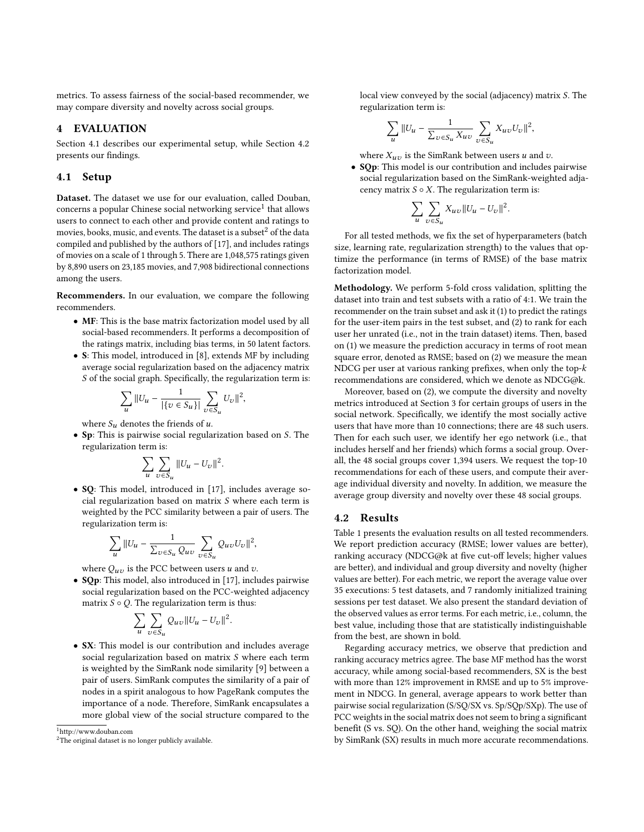metrics. To assess fairness of the social-based recommender, we may compare diversity and novelty across social groups.

#### 4 EVALUATION

Section [4.1](#page-2-0) describes our experimental setup, while Section [4.2](#page-2-1) presents our findings.

## <span id="page-2-0"></span>4.1 Setup

Dataset. The dataset we use for our evaluation, called Douban, concerns a popular Chinese social networking  $\mathrm{service^{1}}$  $\mathrm{service^{1}}$  $\mathrm{service^{1}}$  that allows users to connect to each other and provide content and ratings to movies, books, music, and events. The dataset is a subset<sup>[2](#page-2-3)</sup> of the data compiled and published by the authors of [\[17\]](#page-4-10), and includes ratings of movies on a scale of 1 through 5. There are 1,048,575 ratings given by 8,890 users on 23,185 movies, and 7,908 bidirectional connections among the users.

Recommenders. In our evaluation, we compare the following recommenders.

- MF: This is the base matrix factorization model used by all social-based recommenders. It performs a decomposition of the ratings matrix, including bias terms, in 50 latent factors.
- S: This model, introduced in [\[8\]](#page-4-5), extends MF by including average social regularization based on the adjacency matrix S of the social graph. Specifically, the regularization term is:

$$
\sum_{u} \|U_u - \frac{1}{|\{v \in S_u\}|} \sum_{v \in S_u} U_v \|^2,
$$

where  $S_u$  denotes the friends of u.

• Sp: This is pairwise social regularization based on S. The regularization term is:

$$
\sum_{u}\sum_{v\in S_u}||U_u-U_v||^2.
$$

• SQ: This model, introduced in [\[17\]](#page-4-10), includes average social regularization based on matrix S where each term is weighted by the PCC similarity between a pair of users. The regularization term is:

$$
\sum_{u} \|U_u - \frac{1}{\sum_{v \in S_u} Q_{uv}} \sum_{v \in S_u} Q_{uv} U_v \|^2,
$$

where  $Q_{uv}$  is the PCC between users u and v.

• SQp: This model, also introduced in [\[17\]](#page-4-10), includes pairwise social regularization based on the PCC-weighted adjacency matrix  $S \circ Q$ . The regularization term is thus:

$$
\sum_{u}\sum_{v\in S_u}Q_{uv}||U_u-U_v||^2.
$$

• SX: This model is our contribution and includes average social regularization based on matrix S where each term is weighted by the SimRank node similarity [\[9\]](#page-4-29) between a pair of users. SimRank computes the similarity of a pair of nodes in a spirit analogous to how PageRank computes the importance of a node. Therefore, SimRank encapsulates a more global view of the social structure compared to the

<span id="page-2-2"></span><sup>1</sup><http://www.douban.com>

local view conveyed by the social (adjacency) matrix S. The regularization term is:

$$
\sum_{u} \|U_u - \frac{1}{\sum_{v \in S_u} X_{uv}} \sum_{v \in S_u} X_{uv} U_v \|^2,
$$

where  $X_{uv}$  is the SimRank between users u and v.

• SQp: This model is our contribution and includes pairwise social regularization based on the SimRank-weighted adjacency matrix  $S \circ X$ . The regularization term is:

$$
\sum_{u}\sum_{v\in S_u}X_{uv}||U_u-U_v||^2.
$$

For all tested methods, we fix the set of hyperparameters (batch size, learning rate, regularization strength) to the values that optimize the performance (in terms of RMSE) of the base matrix factorization model.

Methodology. We perform 5-fold cross validation, splitting the dataset into train and test subsets with a ratio of 4:1. We train the recommender on the train subset and ask it (1) to predict the ratings for the user-item pairs in the test subset, and (2) to rank for each user her unrated (i.e., not in the train dataset) items. Then, based on (1) we measure the prediction accuracy in terms of root mean square error, denoted as RMSE; based on (2) we measure the mean NDCG per user at various ranking prefixes, when only the top-k recommendations are considered, which we denote as NDCG@k.

Moreover, based on (2), we compute the diversity and novelty metrics introduced at Section [3](#page-1-0) for certain groups of users in the social network. Specifically, we identify the most socially active users that have more than 10 connections; there are 48 such users. Then for each such user, we identify her ego network (i.e., that includes herself and her friends) which forms a social group. Overall, the 48 social groups cover 1,394 users. We request the top-10 recommendations for each of these users, and compute their average individual diversity and novelty. In addition, we measure the average group diversity and novelty over these 48 social groups.

## <span id="page-2-1"></span>4.2 Results

Table [1](#page-3-0) presents the evaluation results on all tested recommenders. We report prediction accuracy (RMSE; lower values are better), ranking accuracy (NDCG@k at five cut-off levels; higher values are better), and individual and group diversity and novelty (higher values are better). For each metric, we report the average value over 35 executions: 5 test datasets, and 7 randomly initialized training sessions per test dataset. We also present the standard deviation of the observed values as error terms. For each metric, i.e., column, the best value, including those that are statistically indistinguishable from the best, are shown in bold.

Regarding accuracy metrics, we observe that prediction and ranking accuracy metrics agree. The base MF method has the worst accuracy, while among social-based recommenders, SX is the best with more than 12% improvement in RMSE and up to 5% improvement in NDCG. In general, average appears to work better than pairwise social regularization (S/SQ/SX vs. Sp/SQp/SXp). The use of PCC weights in the social matrix does not seem to bring a significant benefit (S vs. SQ). On the other hand, weighing the social matrix by SimRank (SX) results in much more accurate recommendations.

<span id="page-2-3"></span><sup>&</sup>lt;sup>2</sup>The original dataset is no longer publicly available.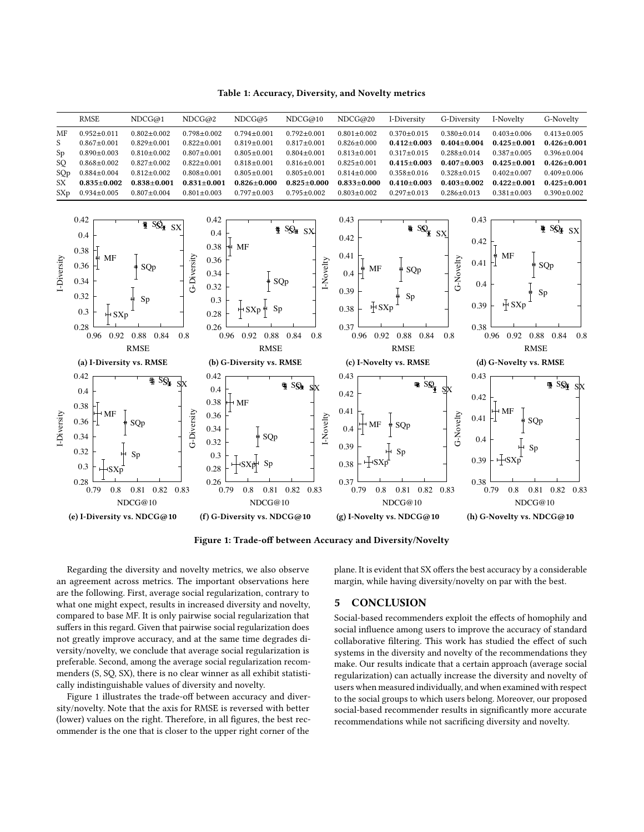Table 1: Accuracy, Diversity, and Novelty metrics

<span id="page-3-1"></span><span id="page-3-0"></span>

Figure 1: Trade-off between Accuracy and Diversity/Novelty

Regarding the diversity and novelty metrics, we also observe an agreement across metrics. The important observations here are the following. First, average social regularization, contrary to what one might expect, results in increased diversity and novelty, compared to base MF. It is only pairwise social regularization that suffers in this regard. Given that pairwise social regularization does not greatly improve accuracy, and at the same time degrades diversity/novelty, we conclude that average social regularization is preferable. Second, among the average social regularization recommenders (S, SQ, SX), there is no clear winner as all exhibit statistically indistinguishable values of diversity and novelty.

Figure [1](#page-3-1) illustrates the trade-off between accuracy and diversity/novelty. Note that the axis for RMSE is reversed with better (lower) values on the right. Therefore, in all figures, the best recommender is the one that is closer to the upper right corner of the

plane. It is evident that SX offers the best accuracy by a considerable margin, while having diversity/novelty on par with the best.

#### 5 CONCLUSION

Social-based recommenders exploit the effects of homophily and social influence among users to improve the accuracy of standard collaborative filtering. This work has studied the effect of such systems in the diversity and novelty of the recommendations they make. Our results indicate that a certain approach (average social regularization) can actually increase the diversity and novelty of users when measured individually, and when examined with respect to the social groups to which users belong. Moreover, our proposed social-based recommender results in significantly more accurate recommendations while not sacrificing diversity and novelty.